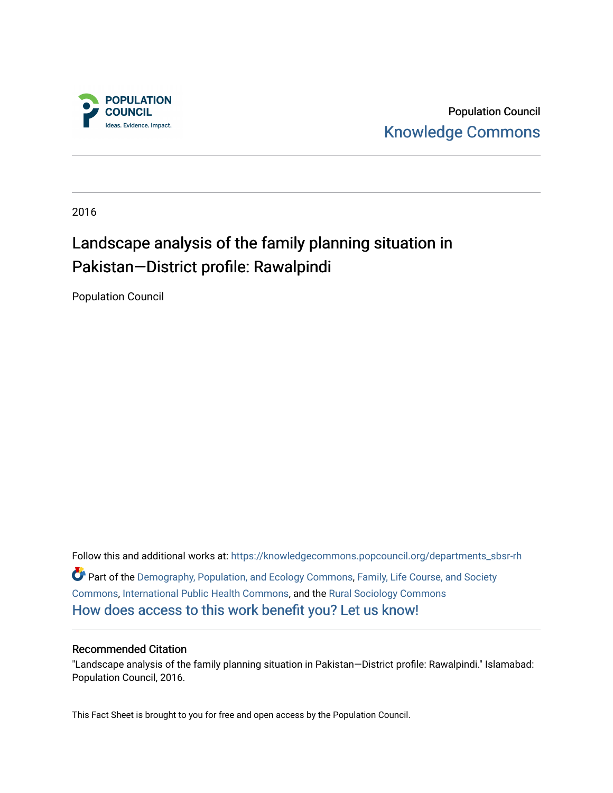

Population Council [Knowledge Commons](https://knowledgecommons.popcouncil.org/) 

2016

## Landscape analysis of the family planning situation in Pakistan—District profile: Rawalpindi

Population Council

Follow this and additional works at: [https://knowledgecommons.popcouncil.org/departments\\_sbsr-rh](https://knowledgecommons.popcouncil.org/departments_sbsr-rh?utm_source=knowledgecommons.popcouncil.org%2Fdepartments_sbsr-rh%2F710&utm_medium=PDF&utm_campaign=PDFCoverPages)  Part of the [Demography, Population, and Ecology Commons,](https://network.bepress.com/hgg/discipline/418?utm_source=knowledgecommons.popcouncil.org%2Fdepartments_sbsr-rh%2F710&utm_medium=PDF&utm_campaign=PDFCoverPages) [Family, Life Course, and Society](https://network.bepress.com/hgg/discipline/419?utm_source=knowledgecommons.popcouncil.org%2Fdepartments_sbsr-rh%2F710&utm_medium=PDF&utm_campaign=PDFCoverPages)  [Commons](https://network.bepress.com/hgg/discipline/419?utm_source=knowledgecommons.popcouncil.org%2Fdepartments_sbsr-rh%2F710&utm_medium=PDF&utm_campaign=PDFCoverPages), [International Public Health Commons,](https://network.bepress.com/hgg/discipline/746?utm_source=knowledgecommons.popcouncil.org%2Fdepartments_sbsr-rh%2F710&utm_medium=PDF&utm_campaign=PDFCoverPages) and the [Rural Sociology Commons](https://network.bepress.com/hgg/discipline/428?utm_source=knowledgecommons.popcouncil.org%2Fdepartments_sbsr-rh%2F710&utm_medium=PDF&utm_campaign=PDFCoverPages)  [How does access to this work benefit you? Let us know!](https://pcouncil.wufoo.com/forms/open-access-to-population-council-research/)

#### Recommended Citation

"Landscape analysis of the family planning situation in Pakistan—District profile: Rawalpindi." Islamabad: Population Council, 2016.

This Fact Sheet is brought to you for free and open access by the Population Council.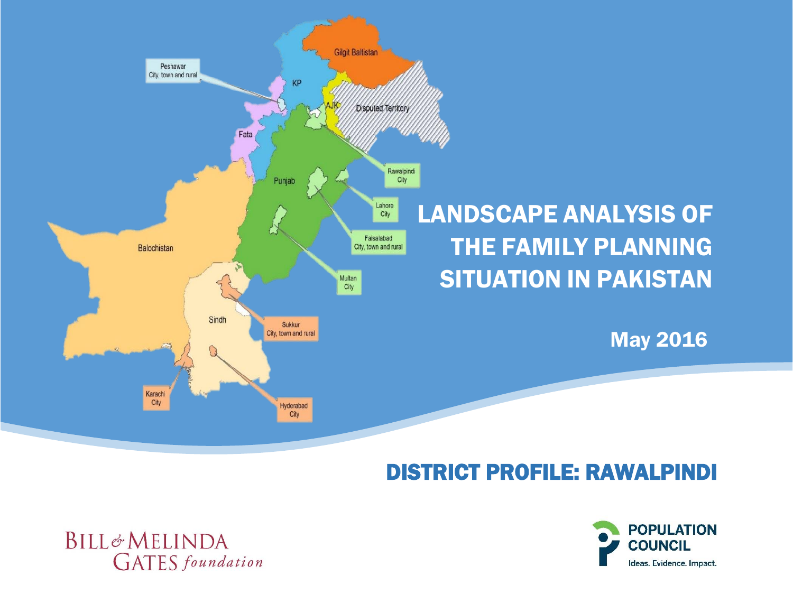

# DISTRICT PROFILE: RAWALPINDI



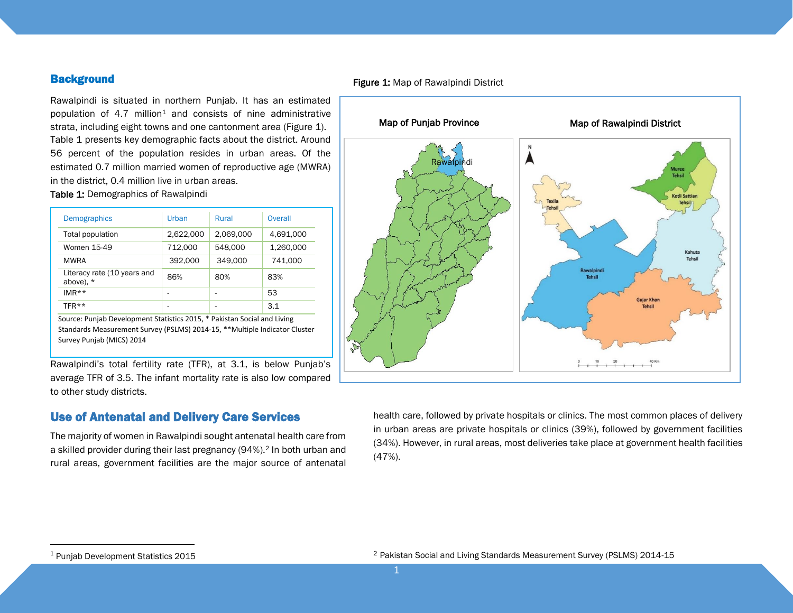#### **Background**

Rawalpindi is situated in northern Punjab. It has an estimated population of  $4.7$  million<sup>1</sup> and consists of nine administrative strata, including eight towns and one cantonment area (Figure 1). Table 1 presents key demographic facts about the district. Around 56 percent of the population resides in urban areas. Of the estimated 0.7 million married women of reproductive age (MWRA) in the district, 0.4 million live in urban areas.

Table 1: Demographics of Rawalpindi

| <b>Demographics</b>                        | Urban     | Rural     | Overall   |
|--------------------------------------------|-----------|-----------|-----------|
| Total population                           | 2,622,000 | 2,069,000 | 4,691,000 |
| Women 15-49                                | 712.000   | 548,000   | 1,260,000 |
| <b>MWRA</b>                                | 392,000   | 349,000   | 741,000   |
| Literacy rate (10 years and<br>above), $*$ | 86%       | 80%       | 83%       |
| $IMR**$                                    |           |           | 53        |
| TFR**                                      |           |           | 3.1       |

Source: Punjab Development Statistics 2015, \* Pakistan Social and Living Standards Measurement Survey (PSLMS) 2014-15, \*\*Multiple Indicator Cluster Survey Punjab (MICS) 2014

Rawalpindi's total fertility rate (TFR), at 3.1, is below Punjab's average TFR of 3.5. The infant mortality rate is also low compared to other study districts.

#### Use of Antenatal and Delivery Care Services

The majority of women in Rawalpindi sought antenatal health care from a skilled provider during their last pregnancy (94%).<sup>2</sup> In both urban and rural areas, government facilities are the major source of antenatal



health care, followed by private hospitals or clinics. The most common places of delivery in urban areas are private hospitals or clinics (39%), followed by government facilities (34%). However, in rural areas, most deliveries take place at government health facilities (47%).

 $\ddot{\phantom{a}}$ 

<sup>&</sup>lt;sup>1</sup> Punjab Development Statistics 2015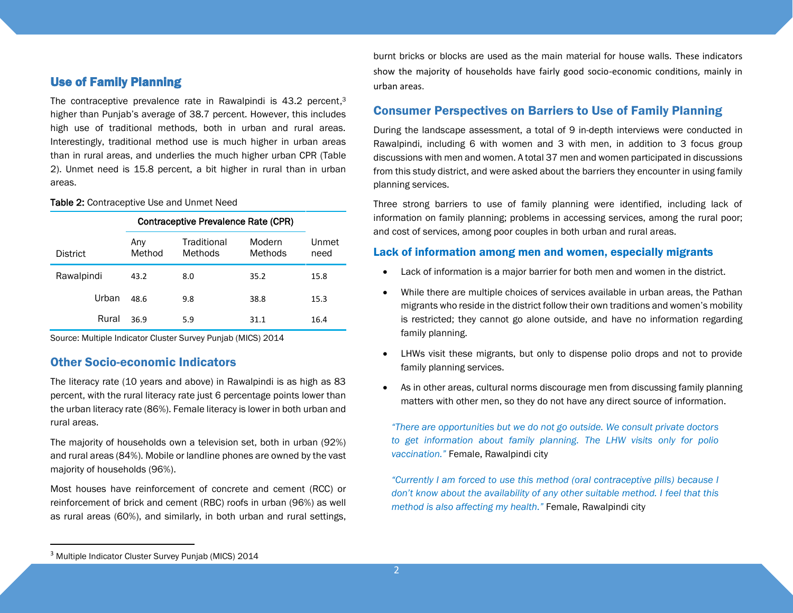#### Use of Family Planning

The contraceptive prevalence rate in Rawalpindi is 43.2 percent,<sup>3</sup> higher than Punjab's average of 38.7 percent. However, this includes high use of traditional methods, both in urban and rural areas. Interestingly, traditional method use is much higher in urban areas than in rural areas, and underlies the much higher urban CPR (Table 2). Unmet need is 15.8 percent, a bit higher in rural than in urban areas.

Table 2: Contraceptive Use and Unmet Need

|                 |               | Contraceptive Prevalence Rate (CPR) |                   |               |  |
|-----------------|---------------|-------------------------------------|-------------------|---------------|--|
| <b>District</b> | Any<br>Method | Traditional<br>Methods              | Modern<br>Methods | Unmet<br>need |  |
| Rawalpindi      | 43.2          | 8.0                                 | 35.2              | 15.8          |  |
| Urban           | 48.6          | 9.8                                 | 38.8              | 15.3          |  |
| Rural           | 36.9          | 5.9                                 | 31.1              | 16.4          |  |

Source: Multiple Indicator Cluster Survey Punjab (MICS) 2014

#### Other Socio-economic Indicators

The literacy rate (10 years and above) in Rawalpindi is as high as 83 percent, with the rural literacy rate just 6 percentage points lower than the urban literacy rate (86%). Female literacy is lower in both urban and rural areas.

The majority of households own a television set, both in urban (92%) and rural areas (84%). Mobile or landline phones are owned by the vast majority of households (96%).

Most houses have reinforcement of concrete and cement (RCC) or reinforcement of brick and cement (RBC) roofs in urban (96%) as well as rural areas (60%), and similarly, in both urban and rural settings,

burnt bricks or blocks are used as the main material for house walls. These indicators show the majority of households have fairly good socio-economic conditions, mainly in urban areas.

#### Consumer Perspectives on Barriers to Use of Family Planning

During the landscape assessment, a total of 9 in-depth interviews were conducted in Rawalpindi, including 6 with women and 3 with men, in addition to 3 focus group discussions with men and women. A total 37 men and women participated in discussions from this study district, and were asked about the barriers they encounter in using family planning services.

Three strong barriers to use of family planning were identified, including lack of information on family planning; problems in accessing services, among the rural poor; and cost of services, among poor couples in both urban and rural areas.

#### Lack of information among men and women, especially migrants

- Lack of information is a major barrier for both men and women in the district.
- While there are multiple choices of services available in urban areas, the Pathan migrants who reside in the district follow their own traditions and women's mobility is restricted; they cannot go alone outside, and have no information regarding family planning.
- LHWs visit these migrants, but only to dispense polio drops and not to provide family planning services.
- As in other areas, cultural norms discourage men from discussing family planning matters with other men, so they do not have any direct source of information.

*"There are opportunities but we do not go outside. We consult private doctors to get information about family planning. The LHW visits only for polio vaccination."* Female, Rawalpindi city

*"Currently I am forced to use this method (oral contraceptive pills) because I don't know about the availability of any other suitable method. I feel that this method is also affecting my health."* Female, Rawalpindi city

 $\ddot{\phantom{a}}$ 

<sup>&</sup>lt;sup>3</sup> Multiple Indicator Cluster Survey Puniab (MICS) 2014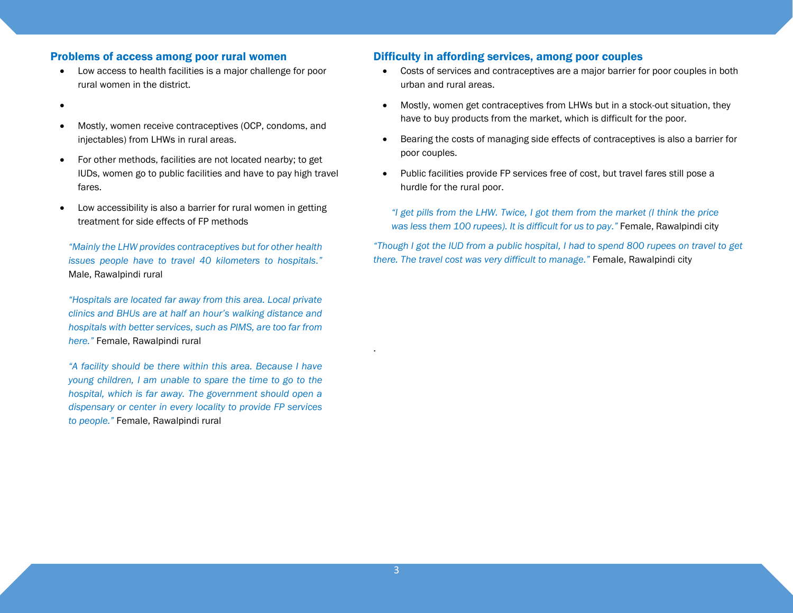#### Problems of access among poor rural women

- Low access to health facilities is a major challenge for poor rural women in the district.
- $\bullet$
- Mostly, women receive contraceptives (OCP, condoms, and injectables) from LHWs in rural areas.
- For other methods, facilities are not located nearby; to get IUDs, women go to public facilities and have to pay high travel fares.
- Low accessibility is also a barrier for rural women in getting treatment for side effects of FP methods

*"Mainly the LHW provides contraceptives but for other health issues people have to travel 40 kilometers to hospitals."* Male, Rawalpindi rural

*"Hospitals are located far away from this area. Local private clinics and BHUs are at half an hour's walking distance and hospitals with better services, such as PIMS, are too far from here."* Female, Rawalpindi rural

*"A facility should be there within this area. Because I have young children, I am unable to spare the time to go to the hospital, which is far away. The government should open a dispensary or center in every locality to provide FP services to people."* Female, Rawalpindi rural

#### Difficulty in affording services, among poor couples

- Costs of services and contraceptives are a major barrier for poor couples in both urban and rural areas.
- Mostly, women get contraceptives from LHWs but in a stock-out situation, they have to buy products from the market, which is difficult for the poor.
- Bearing the costs of managing side effects of contraceptives is also a barrier for poor couples.
- Public facilities provide FP services free of cost, but travel fares still pose a hurdle for the rural poor.

*"I get pills from the LHW. Twice, I got them from the market (I think the price was less them 100 rupees). It is difficult for us to pay."* Female, Rawalpindi city

*"Though I got the IUD from a public hospital, I had to spend 800 rupees on travel to get there. The travel cost was very difficult to manage."* Female, Rawalpindi city

.